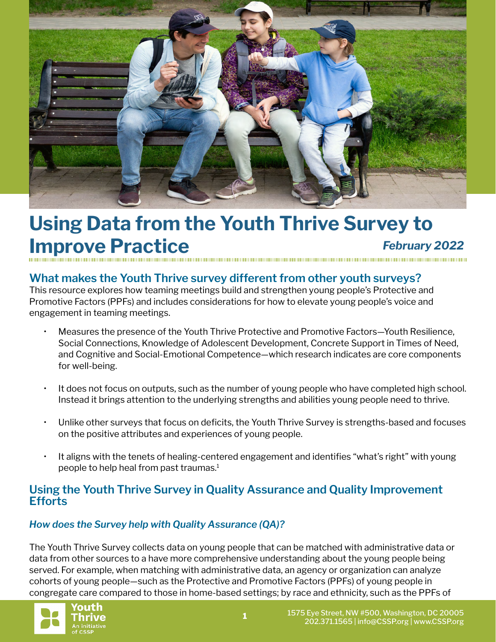

# **Using Data from the Youth Thrive Survey to Improve Practice** *February 2022*

## **What makes the Youth Thrive survey different from other youth surveys?**

This resource explores how teaming meetings build and strengthen young people's Protective and Promotive Factors (PPFs) and includes considerations for how to elevate young people's voice and engagement in teaming meetings.

- Measures the presence of the Youth Thrive Protective and Promotive Factors—Youth Resilience, Social Connections, Knowledge of Adolescent Development, Concrete Support in Times of Need, and Cognitive and Social-Emotional Competence—which research indicates are core components for well-being.
- It does not focus on outputs, such as the number of young people who have completed high school. Instead it brings attention to the underlying strengths and abilities young people need to thrive.
- Unlike other surveys that focus on deficits, the Youth Thrive Survey is strengths-based and focuses on the positive attributes and experiences of young people.
- It aligns with the tenets of healing-centered engagement and identifies "what's right" with young people to help heal from past traumas.<sup>1</sup>

### **Using the Youth Thrive Survey in Quality Assurance and Quality Improvement Efforts**

#### *How does the Survey help with Quality Assurance (QA)?*

The Youth Thrive Survey collects data on young people that can be matched with administrative data or data from other sources to a have more comprehensive understanding about the young people being served. For example, when matching with administrative data, an agency or organization can analyze cohorts of young people—such as the Protective and Promotive Factors (PPFs) of young people in congregate care compared to those in home-based settings; by race and ethnicity, such as the PPFs of

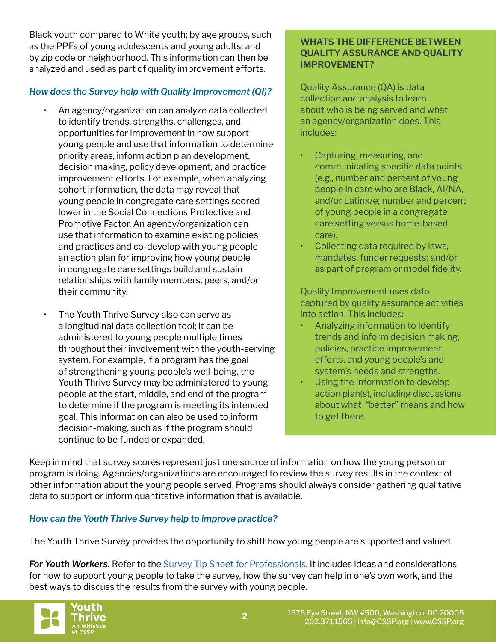Black youth compared to White youth; by age groups, such as the PPFs of young adolescents and young adults; and by zip code or neighborhood. This information can then be analyzed and used as part of quality improvement efforts.

#### *How does the Survey help with Quality Improvement (QI)?*

- An agency/organization can analyze data collected to identify trends, strengths, challenges, and opportunities for improvement in how support young people and use that information to determine priority areas, inform action plan development, decision making, policy development, and practice improvement efforts. For example, when analyzing cohort information, the data may reveal that young people in congregate care settings scored lower in the Social Connections Protective and Promotive Factor. An agency/organization can use that information to examine existing policies and practices and co-develop with young people an action plan for improving how young people in congregate care settings build and sustain relationships with family members, peers, and/or their community.
- The Youth Thrive Survey also can serve as a longitudinal data collection tool; it can be administered to young people multiple times throughout their involvement with the youth-serving system. For example, if a program has the goal of strengthening young people's well-being, the Youth Thrive Survey may be administered to young people at the start, middle, and end of the program to determine if the program is meeting its intended goal. This information can also be used to inform decision-making, such as if the program should continue to be funded or expanded.

#### **WHATS THE DIFFERENCE BETWEEN QUALITY ASSURANCE AND QUALITY IMPROVEMENT?**

Quality Assurance (QA) is data collection and analysis to learn about who is being served and what an agency/organization does. This includes:

- Capturing, measuring, and communicating specific data points (e.g., number and percent of young people in care who are Black, AI/NA, and/or Latinx/e; number and percent of young people in a congregate care setting versus home-based care).
- Collecting data required by laws, mandates, funder requests; and/or as part of program or model fidelity.

Quality Improvement uses data captured by quality assurance activities into action. This includes:

- Analyzing information to Identify trends and inform decision making, policies, practice improvement efforts, and young people's and system's needs and strengths.
- Using the information to develop action plan(s), including discussions about what "better" means and how to get there.

Keep in mind that survey scores represent just one source of information on how the young person or program is doing. Agencies/organizations are encouraged to review the survey results in the context of other information about the young people served. Programs should always consider gathering qualitative data to support or inform quantitative information that is available.

#### *How can the Youth Thrive Survey help to improve practice?*

The Youth Thrive Survey provides the opportunity to shift how young people are supported and valued.

*For Youth Workers.* Refer to the [Survey Tip Sheet for Professionals.](https://cssp.org/wp-content/uploads/2019/08/Youth-Thrive-Survey-Tip-Sheet-Updated8192020.pdf) It includes ideas and considerations for how to support young people to take the survey, how the survey can help in one's own work, and the best ways to discuss the results from the survey with young people.